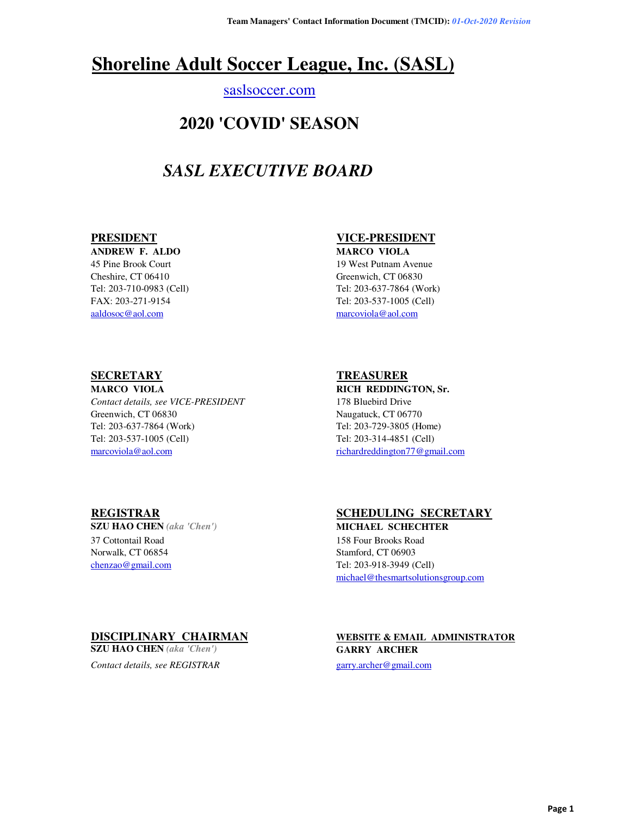# **Shoreline Adult Soccer League, Inc. (SASL)**

### saslsoccer.com

## **2020 'COVID' SEASON**

# *SASL EXECUTIVE BOARD*

**ANDREW F. ALDO MARCO VIOLA** 45 Pine Brook Court 19 West Putnam Avenue Cheshire, CT 06410 Greenwich, CT 06830 aaldosoc@aol.com marcoviola@aol.com

### **PRESIDENT VICE-PRESIDENT**

Tel: 203-710-0983 (Cell) Tel: 203-637-7864 (Work) FAX: 203-271-9154 Tel: 203-537-1005 (Cell)

*Contact details, see VICE-PRESIDENT* 178 Bluebird Drive Greenwich, CT 06830 Naugatuck, CT 06770 Tel: 203-637-7864 (Work) Tel: 203-729-3805 (Home) Tel: 203-537-1005 (Cell) Tel: 203-314-4851 (Cell) marcoviola@aol.com richardreddington77@gmail.com

### **SECRETARY TREASURER**

**MARCO VIOLA RICH REDDINGTON, Sr.** 

37 Cottontail Road 158 Four Brooks Road Norwalk, CT 06854 Stamford, CT 06903 chenzao@gmail.com Tel: 203-918-3949 (Cell)

### **REGISTRAR SCHEDULING SECRETARY**

**SZU HAO CHEN** *(aka 'Chen')* **MICHAEL SCHECHTER** michael@thesmartsolutionsgroup.com

**SZU HAO CHEN** *(aka 'Chen')* **GARRY ARCHER**

*Contact details, see REGISTRAR* garry.archer@gmail.com

# **DISCIPLINARY CHAIRMAN WEBSITE & EMAIL ADMINISTRATOR**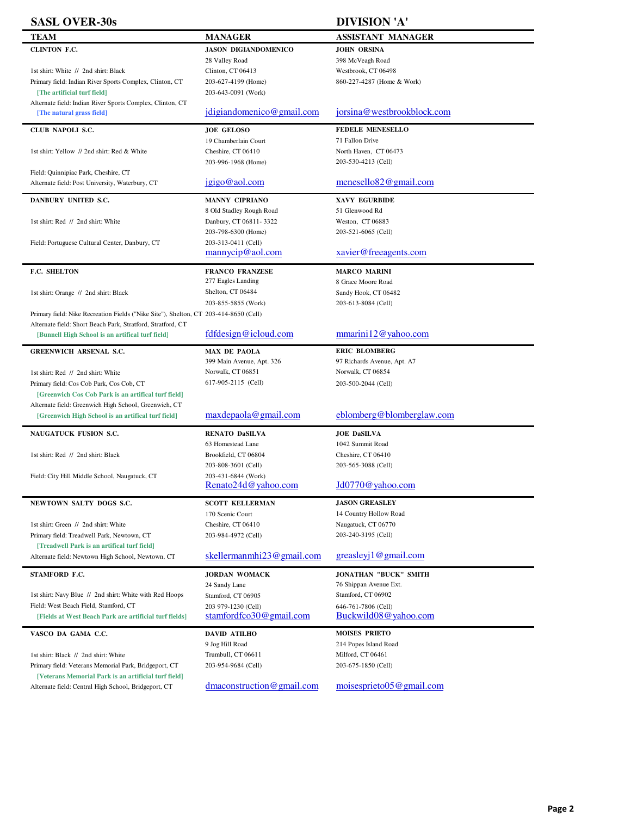| <b>SASL OVER-30s</b>                                                                 |                                             | <b>DIVISION 'A'</b>                          |
|--------------------------------------------------------------------------------------|---------------------------------------------|----------------------------------------------|
| TEAM                                                                                 | <b>MANAGER</b>                              | <b>ASSISTANT MANAGER</b>                     |
| CLINTON F.C.                                                                         | <b>JASON DIGIANDOMENICO</b>                 | <b>JOHN ORSINA</b>                           |
|                                                                                      | 28 Valley Road                              | 398 McVeagh Road                             |
| 1st shirt: White // 2nd shirt: Black                                                 | Clinton, CT 06413                           | Westbrook, CT 06498                          |
| Primary field: Indian River Sports Complex, Clinton, CT                              | 203-627-4199 (Home)                         | 860-227-4287 (Home & Work)                   |
| [The artificial turf field]                                                          | 203-643-0091 (Work)                         |                                              |
| Alternate field: Indian River Sports Complex, Clinton, CT                            |                                             |                                              |
| [The natural grass field]                                                            | jdigiandomenico@gmail.com                   | jorsina@westbrookblock.com                   |
|                                                                                      |                                             |                                              |
| CLUB NAPOLI S.C.                                                                     | <b>JOE GELOSO</b>                           | <b>FEDELE MENESELLO</b>                      |
| 1st shirt: Yellow // 2nd shirt: Red & White                                          | 19 Chamberlain Court                        | 71 Fallon Drive                              |
|                                                                                      | Cheshire, CT 06410                          | North Haven, CT 06473<br>203-530-4213 (Cell) |
| Field: Quinnipiac Park, Cheshire, CT                                                 | 203-996-1968 (Home)                         |                                              |
| Alternate field: Post University, Waterbury, CT                                      | jgigo@aol.com                               | menesel $\log 2$ @gmail.com                  |
|                                                                                      |                                             |                                              |
| DANBURY UNITED S.C.                                                                  | MANNY CIPRIANO                              | XAVY EGURBIDE                                |
|                                                                                      | 8 Old Stadley Rough Road                    | 51 Glenwood Rd                               |
| 1st shirt: Red // 2nd shirt: White                                                   | Danbury, CT 06811-3322                      | Weston, CT 06883                             |
|                                                                                      | 203-798-6300 (Home)                         | 203-521-6065 (Cell)                          |
| Field: Portuguese Cultural Center, Danbury, CT                                       | 203-313-0411 (Cell)                         |                                              |
|                                                                                      | mannycip@aol.com                            | xavier@freeagents.com                        |
| F.C. SHELTON                                                                         | <b>FRANCO FRANZESE</b>                      | <b>MARCO MARINI</b>                          |
|                                                                                      | 277 Eagles Landing                          | 8 Grace Moore Road                           |
| 1st shirt: Orange // 2nd shirt: Black                                                | Shelton, CT 06484                           | Sandy Hook, CT 06482                         |
|                                                                                      | 203-855-5855 (Work)                         | 203-613-8084 (Cell)                          |
| Primary field: Nike Recreation Fields ("Nike Site"), Shelton, CT 203-414-8650 (Cell) |                                             |                                              |
| Alternate field: Short Beach Park, Stratford, Stratford, CT                          |                                             |                                              |
| [Bunnell High School is an artifical turf field]                                     | fdfdesign@icloud.com                        | mmarini 12@yahoo.com                         |
| <b>GREENWICH ARSENAL S.C.</b>                                                        | <b>MAX DE PAOLA</b>                         | <b>ERIC BLOMBERG</b>                         |
|                                                                                      | 399 Main Avenue, Apt. 326                   | 97 Richards Avenue, Apt. A7                  |
| 1st shirt: Red // 2nd shirt: White                                                   | Norwalk, CT 06851                           | Norwalk, CT 06854                            |
| Primary field: Cos Cob Park, Cos Cob, CT                                             | 617-905-2115 (Cell)                         | 203-500-2044 (Cell)                          |
| [Greenwich Cos Cob Park is an artifical turf field]                                  |                                             |                                              |
| Alternate field: Greenwich High School, Greenwich, CT                                |                                             |                                              |
| [Greenwich High School is an artifical turf field]                                   | maxdepaola@gmail.com                        | eblomberg@blomberglaw.com                    |
|                                                                                      |                                             |                                              |
| NAUGATUCK FUSION S.C.                                                                | <b>RENATO DaSILVA</b>                       | <b>JOE DaSILVA</b>                           |
|                                                                                      | 63 Homestead Lane                           | 1042 Summit Road                             |
| 1st shirt: Red // 2nd shirt: Black                                                   | Brookfield, CT 06804<br>203-808-3601 (Cell) | Cheshire, CT 06410<br>203-565-3088 (Cell)    |
| Field: City Hill Middle School, Naugatuck, CT                                        | 203-431-6844 (Work)                         |                                              |
|                                                                                      | Renato24d@yahoo.com                         | Jd0770@yahoo.com                             |
|                                                                                      |                                             |                                              |
| NEWTOWN SALTY DOGS S.C.                                                              | <b>SCOTT KELLERMAN</b>                      | <b>JASON GREASLEY</b>                        |
|                                                                                      | 170 Scenic Court                            | 14 Country Hollow Road                       |
| 1st shirt: Green // 2nd shirt: White                                                 | Cheshire, CT 06410                          | Naugatuck, CT 06770                          |
| Primary field: Treadwell Park, Newtown, CT                                           | 203-984-4972 (Cell)                         | 203-240-3195 (Cell)                          |
| [Treadwell Park is an artifical turf field]                                          | skellermannhi23@gmail.com                   | greasley $1@$ gmail.com                      |
| Alternate field: Newtown High School, Newtown, CT                                    |                                             |                                              |
| STAMFORD F.C.                                                                        | <b>JORDAN WOMACK</b>                        | <b>JONATHAN "BUCK" SMITH</b>                 |
|                                                                                      | 24 Sandy Lane                               | 76 Shippan Avenue Ext.                       |
| 1st shirt: Navy Blue // 2nd shirt: White with Red Hoops                              | Stamford, CT 06905                          | Stamford, CT 06902                           |
| Field: West Beach Field, Stamford, CT                                                | 203 979-1230 (Cell)                         | 646-761-7806 (Cell)                          |
| [Fields at West Beach Park are artificial turf fields]                               | stamfordfco30@gmail.com                     | Buckwild08@yahoo.com                         |
| VASCO DA GAMA C.C.                                                                   | <b>DAVID ATILHO</b>                         | <b>MOISES PRIETO</b>                         |
|                                                                                      | 9 Jog Hill Road                             | 214 Popes Island Road                        |
| 1st shirt: Black // 2nd shirt: White                                                 | Trumbull, CT 06611                          | Milford, CT 06461                            |
| Primary field: Veterans Memorial Park, Bridgeport, CT                                | 203-954-9684 (Cell)                         | 203-675-1850 (Cell)                          |
| [Veterans Memorial Park is an artificial turf field]                                 |                                             |                                              |
| Alternate field: Central High School, Bridgeport, CT                                 | $d$ maconstruction@gmail.com                | $moise$ sprieto $05@$ gmail.com              |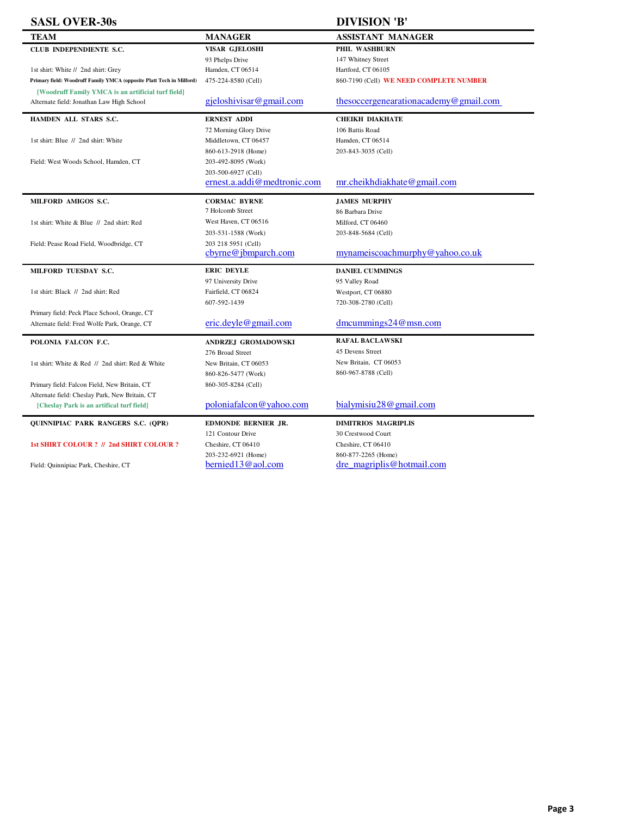| <b>SASL OVER-30s</b>                                                 |                              | <b>DIVISION 'B'</b>                     |
|----------------------------------------------------------------------|------------------------------|-----------------------------------------|
| <b>TEAM</b>                                                          | <b>MANAGER</b>               | <b>ASSISTANT MANAGER</b>                |
| CLUB INDEPENDIENTE S.C.                                              | <b>VISAR GJELOSHI</b>        | PHIL WASHBURN                           |
|                                                                      | 93 Phelps Drive              | 147 Whitney Street                      |
| 1st shirt: White // 2nd shirt: Grey                                  | Hamden, CT 06514             | Hartford, CT 06105                      |
| Primary field: Woodruff Family YMCA (opposite Platt Tech in Milford) | 475-224-8580 (Cell)          | 860-7190 (Cell) WE NEED COMPLETE NUMBER |
| [Woodruff Family YMCA is an artificial turf field]                   |                              |                                         |
| Alternate field: Jonathan Law High School                            | gjeloshivisar@gmail.com      | thesoccergenearationacademy@gmail.com   |
| HAMDEN ALL STARS S.C.                                                | <b>ERNEST ADDI</b>           | <b>CHEIKH DIAKHATE</b>                  |
|                                                                      | 72 Morning Glory Drive       | 106 Battis Road                         |
| 1st shirt: Blue // 2nd shirt: White                                  | Middletown, CT 06457         | Hamden, CT 06514                        |
|                                                                      | 860-613-2918 (Home)          | 203-843-3035 (Cell)                     |
| Field: West Woods School, Hamden, CT                                 | 203-492-8095 (Work)          |                                         |
|                                                                      | 203-500-6927 (Cell)          |                                         |
|                                                                      | ernest.a.addi@medtronic.com  | mr.cheikhdiakhate@gmail.com             |
| MILFORD AMIGOS S.C.                                                  | <b>CORMAC BYRNE</b>          | <b>JAMES MURPHY</b>                     |
|                                                                      | 7 Holcomb Street             | 86 Barbara Drive                        |
| 1st shirt: White & Blue // 2nd shirt: Red                            | West Haven, CT 06516         | Milford, CT 06460                       |
|                                                                      | 203-531-1588 (Work)          | 203-848-5684 (Cell)                     |
| Field: Pease Road Field, Woodbridge, CT                              | 203 218 5951 (Cell)          |                                         |
|                                                                      | cbyrne@jbmparch.com          | mynameiscoachmurphy@yahoo.co.uk         |
| MILFORD TUESDAY S.C.                                                 | <b>ERIC DEYLE</b>            | <b>DANIEL CUMMINGS</b>                  |
|                                                                      | 97 University Drive          | 95 Valley Road                          |
| 1st shirt: Black // 2nd shirt: Red                                   | Fairfield, CT 06824          | Westport, CT 06880                      |
|                                                                      | 607-592-1439                 | 720-308-2780 (Cell)                     |
| Primary field: Peck Place School, Orange, CT                         |                              |                                         |
| Alternate field: Fred Wolfe Park, Orange, CT                         | eric. <u>deyle@gmail.com</u> | $d$ mcummings24@msn.com                 |
| POLONIA FALCON F.C.                                                  | ANDRZEJ GROMADOWSKI          | <b>RAFAL BACLAWSKI</b>                  |
|                                                                      | 276 Broad Street             | 45 Devens Street                        |
| 1st shirt: White & Red // 2nd shirt: Red & White                     | New Britain, CT 06053        | New Britain, CT 06053                   |
|                                                                      | 860-826-5477 (Work)          | 860-967-8788 (Cell)                     |
| Primary field: Falcon Field, New Britain, CT                         | 860-305-8284 (Cell)          |                                         |
| Alternate field: Cheslay Park, New Britain, CT                       |                              |                                         |
| [Cheslay Park is an artifical turf field]                            | poloniafalcon@yahoo.com      | bialymisiu28@gmail.com                  |
| QUINNIPIAC PARK RANGERS S.C. (QPR)                                   | EDMONDE BERNIER JR.          | <b>DIMITRIOS MAGRIPLIS</b>              |
|                                                                      | 121 Contour Drive            | 30 Crestwood Court                      |
| 1st SHIRT COLOUR ? // 2nd SHIRT COLOUR ?                             | Cheshire, CT 06410           | Cheshire, CT 06410                      |

203-232-6921 (Home)<br>bernied 13@aol.com Field: Quinnipiac Park, Cheshire, CT <sup>203-232-6921</sup> (Home) 860-877-2265 (Home) 860-877-2265 (Home) 860-877-2265 (Home)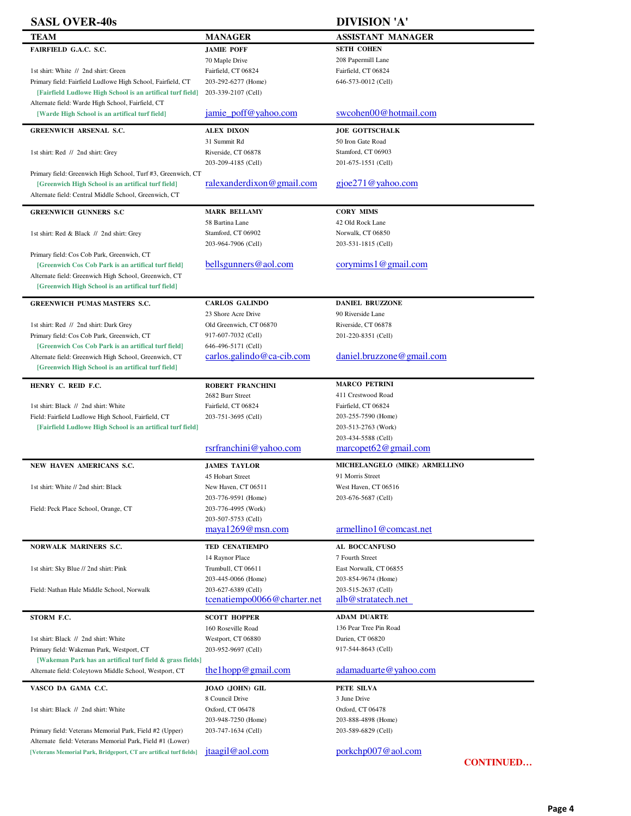| <b>SASL OVER-40s</b>                                                                                                |                                    | <b>DIVISION 'A'</b>           |
|---------------------------------------------------------------------------------------------------------------------|------------------------------------|-------------------------------|
| TEAM                                                                                                                | <b>MANAGER</b>                     | <b>ASSISTANT MANAGER</b>      |
| FAIRFIELD G.A.C. S.C.                                                                                               | <b>JAMIE POFF</b>                  | <b>SETH COHEN</b>             |
|                                                                                                                     | 70 Maple Drive                     | 208 Papermill Lane            |
| 1st shirt: White // 2nd shirt: Green                                                                                | Fairfield, CT 06824                | Fairfield, CT 06824           |
| Primary field: Fairfield Ludlowe High School, Fairfield, CT                                                         | 203-292-6277 (Home)                | 646-573-0012 (Cell)           |
| [Fairfield Ludlowe High School is an artifical turf field]                                                          | 203-339-2107 (Cell)                |                               |
| Alternate field: Warde High School, Fairfield, CT                                                                   |                                    |                               |
| [Warde High School is an artifical turf field]                                                                      | jamie poff@yahoo.com               | swcohen00@hotmail.com         |
| <b>GREENWICH ARSENAL S.C.</b>                                                                                       | <b>ALEX DIXON</b>                  | <b>JOE GOTTSCHALK</b>         |
|                                                                                                                     | 31 Summit Rd                       | 50 Iron Gate Road             |
| 1st shirt: Red // 2nd shirt: Grey                                                                                   | Riverside, CT 06878                | Stamford, CT 06903            |
|                                                                                                                     | 203-209-4185 (Cell)                | 201-675-1551 (Cell)           |
| Primary field: Greenwich High School, Turf #3, Greenwich, CT                                                        |                                    |                               |
| [Greenwich High School is an artifical turf field]                                                                  | ralexanderdixon@gmail.com          | $\text{g}$ joe271@yahoo.com   |
| Alternate field: Central Middle School, Greenwich, CT                                                               |                                    |                               |
| <b>GREENWICH GUNNERS S.C</b>                                                                                        | <b>MARK BELLAMY</b>                | <b>CORY MIMS</b>              |
|                                                                                                                     | 58 Bartina Lane                    | 42 Old Rock Lane              |
| 1st shirt: Red & Black // 2nd shirt: Grey                                                                           | Stamford, CT 06902                 | Norwalk, CT 06850             |
|                                                                                                                     | 203-964-7906 (Cell)                | 203-531-1815 (Cell)           |
| Primary field: Cos Cob Park, Greenwich, CT                                                                          |                                    |                               |
| [Greenwich Cos Cob Park is an artifical turf field]                                                                 | bellsgunners@aol.com               | corymims1@gmail.com           |
| Alternate field: Greenwich High School, Greenwich, CT                                                               |                                    |                               |
| [Greenwich High School is an artifical turf field]                                                                  |                                    |                               |
| <b>GREENWICH PUMAS MASTERS S.C.</b>                                                                                 | <b>CARLOS GALINDO</b>              | <b>DANIEL BRUZZONE</b>        |
|                                                                                                                     | 23 Shore Acre Drive                | 90 Riverside Lane             |
| 1st shirt: Red // 2nd shirt: Dark Grey                                                                              | Old Greenwich, CT 06870            | Riverside, CT 06878           |
| Primary field: Cos Cob Park, Greenwich, CT                                                                          | 917-607-7032 (Cell)                | 201-220-8351 (Cell)           |
| [Greenwich Cos Cob Park is an artifical turf field]                                                                 | 646-496-5171 (Cell)                |                               |
| Alternate field: Greenwich High School, Greenwich, CT                                                               | $carlos.galindo@ca-cib.com$        | daniel.bruzzone@gmail.com     |
| [Greenwich High School is an artifical turf field]                                                                  |                                    |                               |
| HENRY C. REID F.C.                                                                                                  | <b>ROBERT FRANCHINI</b>            | <b>MARCO PETRINI</b>          |
|                                                                                                                     | 2682 Burr Street                   | 411 Crestwood Road            |
| 1st shirt: Black // 2nd shirt: White                                                                                | Fairfield, CT 06824                | Fairfield, CT 06824           |
| Field: Fairfield Ludlowe High School, Fairfield, CT                                                                 | 203-751-3695 (Cell)                | 203-255-7590 (Home)           |
| [Fairfield Ludlowe High School is an artifical turf field]                                                          |                                    | 203-513-2763 (Work)           |
|                                                                                                                     |                                    | 203-434-5588 (Cell)           |
|                                                                                                                     | rsrfranchini@yahoo.com             | marcopet62@gmail.com          |
| NEW HAVEN AMERICANS S.C.                                                                                            | <b>JAMES TAYLOR</b>                | MICHELANGELO (MIKE) ARMELLINO |
|                                                                                                                     | 45 Hobart Street                   | 91 Morris Street              |
| 1st shirt: White // 2nd shirt: Black                                                                                | New Haven, CT 06511                | West Haven, CT 06516          |
|                                                                                                                     | 203-776-9591 (Home)                | 203-676-5687 (Cell)           |
| Field: Peck Place School, Orange, CT                                                                                | 203-776-4995 (Work)                |                               |
|                                                                                                                     | 203-507-5753 (Cell)                |                               |
|                                                                                                                     | maya1269@msn.com                   | armellino1@comcast.net        |
| <b>NORWALK MARINERS S.C.</b>                                                                                        | <b>TED CENATIEMPO</b>              | AL BOCCANFUSO                 |
|                                                                                                                     | 14 Raynor Place                    | 7 Fourth Street               |
| 1st shirt: Sky Blue // 2nd shirt: Pink                                                                              | Trumbull, CT 06611                 | East Norwalk, CT 06855        |
|                                                                                                                     | 203-445-0066 (Home)                | 203-854-9674 (Home)           |
| Field: Nathan Hale Middle School, Norwalk                                                                           | 203-627-6389 (Cell)                | 203-515-2637 (Cell)           |
|                                                                                                                     | tcenatiempo0066@charter.net        | alb@stratatech.net            |
|                                                                                                                     |                                    |                               |
| STORM F.C.                                                                                                          | <b>SCOTT HOPPER</b>                | <b>ADAM DUARTE</b>            |
|                                                                                                                     | 160 Roseville Road                 | 136 Pear Tree Pin Road        |
| 1st shirt: Black // 2nd shirt: White                                                                                | Westport, CT 06880                 | Darien, CT 06820              |
| Primary field: Wakeman Park, Westport, CT                                                                           | 203-952-9697 (Cell)                | 917-544-8643 (Cell)           |
| [Wakeman Park has an artifical turf field & grass fields]<br>Alternate field: Coleytown Middle School, Westport, CT | the lhopp@gmail.com                | adamaduarte@yahoo.com         |
|                                                                                                                     |                                    |                               |
| VASCO DA GAMA C.C.                                                                                                  | JOAO (JOHN) GIL<br>8 Council Drive | PETE SILVA<br>3 June Drive    |
| 1st shirt: Black // 2nd shirt: White                                                                                | Oxford, CT 06478                   | Oxford, CT 06478              |
|                                                                                                                     | 203-948-7250 (Home)                | 203-888-4898 (Home)           |
| Primary field: Veterans Memorial Park, Field #2 (Upper)                                                             | 203-747-1634 (Cell)                | 203-589-6829 (Cell)           |
| Alternate field: Veterans Memorial Park, Field #1 (Lower)                                                           |                                    |                               |
| [Veterans Memorial Park, Bridgeport, CT are artifical turf fields]                                                  | jtaagil@aol.com                    | $porkchp007@$ aol.com         |
|                                                                                                                     |                                    | <b>CONTINUED</b>              |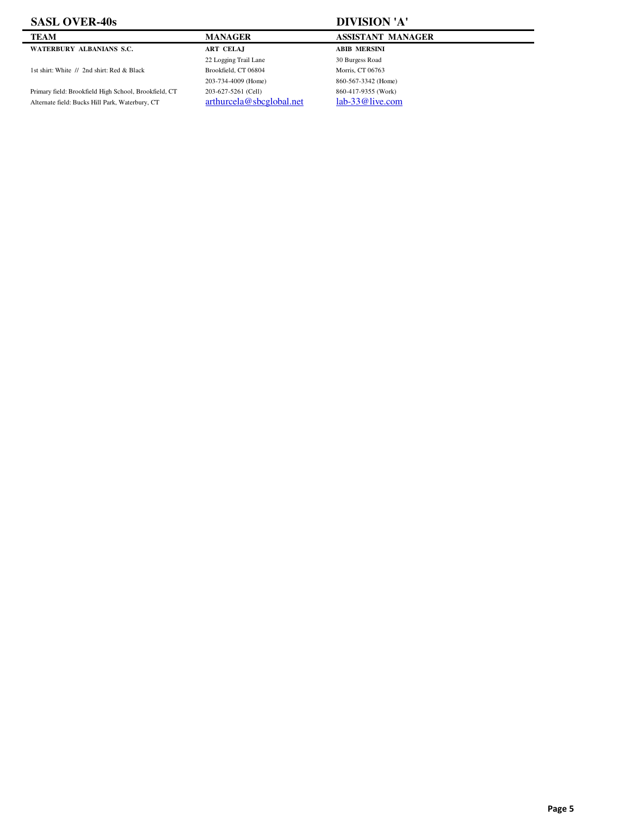### **SASL OVER-40s DIVISION 'A'**

**WATERBURY ALBANIANS S.C. ART CELAJ ABIB MERSINI**

1st shirt: White // 2nd shirt: Red & Black Brookfield, CT 06804 Morris, CT 06763

Primary field: Brookfield High School, Brookfield, CT 203-627-5261 (Cell) 860-417-9355 (Work)<br>Alternate field: Bucks Hill Park, Waterbury, CT arthurcela@sbcglobal.net lab-33@live.com Alternate field: Bucks Hill Park, Waterbury, CT

22 Logging Trail Lane 30 Burgess Road 203-734-4009 (Home) 860-567-3342 (Home)

### **TEAM MANAGER MANAGER ASSISTANT MANAGER**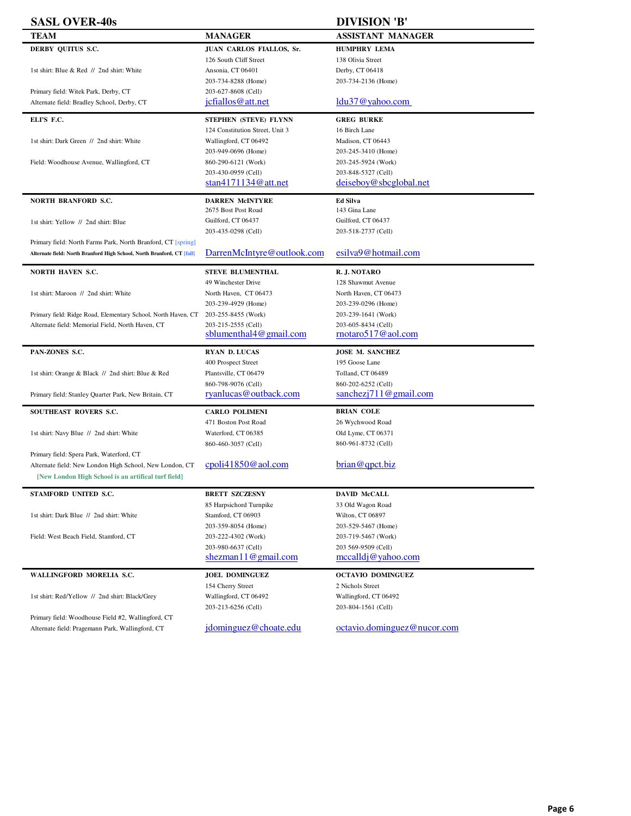| <b>SASL OVER-40s</b>                                                   |                                 | <b>DIVISION 'B'</b>         |
|------------------------------------------------------------------------|---------------------------------|-----------------------------|
| TEAM                                                                   | <b>MANAGER</b>                  | <b>ASSISTANT MANAGER</b>    |
| DERBY QUITUS S.C.                                                      | JUAN CARLOS FIALLOS, Sr.        | <b>HUMPHRY LEMA</b>         |
|                                                                        | 126 South Cliff Street          | 138 Olivia Street           |
| 1st shirt: Blue & Red // 2nd shirt: White                              | Ansonia, CT 06401               | Derby, CT 06418             |
|                                                                        | 203-734-8288 (Home)             | 203-734-2136 (Home)         |
| Primary field: Witek Park, Derby, CT                                   | 203-627-8608 (Cell)             |                             |
| Alternate field: Bradley School, Derby, CT                             | jcfiallos@att.net               | $ldu37@$ vahoo.com          |
| ELPS F.C.                                                              | STEPHEN (STEVE) FLYNN           | <b>GREG BURKE</b>           |
|                                                                        | 124 Constitution Street, Unit 3 | 16 Birch Lane               |
| 1st shirt: Dark Green // 2nd shirt: White                              | Wallingford, CT 06492           | Madison, CT 06443           |
|                                                                        | 203-949-0696 (Home)             | 203-245-3410 (Home)         |
| Field: Woodhouse Avenue, Wallingford, CT                               | 860-290-6121 (Work)             | 203-245-5924 (Work)         |
|                                                                        | 203-430-0959 (Cell)             | 203-848-5327 (Cell)         |
|                                                                        | stan $4171134@$ att.net         | deiseboy@sbcglobal.net      |
| <b>NORTH BRANFORD S.C.</b>                                             | <b>DARREN McINTYRE</b>          | <b>Ed Silva</b>             |
|                                                                        | 2675 Bost Post Road             | 143 Gina Lane               |
| 1st shirt: Yellow // 2nd shirt: Blue                                   | Guilford, CT 06437              | Guilford, CT 06437          |
|                                                                        | 203-435-0298 (Cell)             | 203-518-2737 (Cell)         |
| Primary field: North Farms Park, North Branford, CT [spring]           |                                 |                             |
| Alternate field: North Branford High School, North Branford, CT [fall] | DarrenMcIntyre@outlook.com      | esilva9@hotmail.com         |
| <b>NORTH HAVEN S.C.</b>                                                | <b>STEVE BLUMENTHAL</b>         | R.J. NOTARO                 |
|                                                                        | 49 Winchester Drive             | 128 Shawmut Avenue          |
| 1st shirt: Maroon // 2nd shirt: White                                  | North Haven, CT 06473           | North Haven, CT 06473       |
|                                                                        | 203-239-4929 (Home)             | 203-239-0296 (Home)         |
| Primary field: Ridge Road, Elementary School, North Haven, CT          | 203-255-8455 (Work)             | 203-239-1641 (Work)         |
| Alternate field: Memorial Field, North Haven, CT                       | 203-215-2555 (Cell)             | 203-605-8434 (Cell)         |
|                                                                        | sblumenthal4@gmail.com          | rnotaro517@aol.com          |
| PAN-ZONES S.C.                                                         | <b>RYAN D. LUCAS</b>            | <b>JOSE M. SANCHEZ</b>      |
|                                                                        | 400 Prospect Street             | 195 Goose Lane              |
| 1st shirt: Orange & Black // 2nd shirt: Blue & Red                     | Plantsville, CT 06479           | Tolland, CT 06489           |
|                                                                        | 860-798-9076 (Cell)             | 860-202-6252 (Cell)         |
| Primary field: Stanley Quarter Park, New Britain, CT                   | ryanlucas@outback.com           | sanchezj $711@$ gmail.com   |
|                                                                        |                                 |                             |
| SOUTHEAST ROVERS S.C.                                                  | <b>CARLO POLIMENI</b>           | <b>BRIAN COLE</b>           |
|                                                                        | 471 Boston Post Road            | 26 Wychwood Road            |
| 1st shirt: Navy Blue // 2nd shirt: White                               | Waterford, CT 06385             | Old Lyme, CT 06371          |
|                                                                        | 860-460-3057 (Cell)             | 860-961-8732 (Cell)         |
| Primary field: Spera Park, Waterford, CT                               |                                 |                             |
| Alternate field: New London High School, New London, CT                | cpoli41850@aol.com              | brain@qpt.biz               |
| [New London High School is an artifical turf field]                    |                                 |                             |
| STAMFORD UNITED S.C.                                                   | <b>BRETT SZCZESNY</b>           | <b>DAVID McCALL</b>         |
|                                                                        | 85 Harpsichord Turnpike         | 33 Old Wagon Road           |
| 1st shirt: Dark Blue // 2nd shirt: White                               | Stamford, CT 06903              | Wilton, CT 06897            |
|                                                                        | 203-359-8054 (Home)             | 203-529-5467 (Home)         |
| Field: West Beach Field, Stamford, CT                                  | 203-222-4302 (Work)             | 203-719-5467 (Work)         |
|                                                                        | 203-980-6637 (Cell)             | 203 569-9509 (Cell)         |
|                                                                        | shezman $11@$ gmail.com         | mecall di @ yahoo.com       |
| WALLINGFORD MORELIA S.C.                                               | <b>JOEL DOMINGUEZ</b>           | <b>OCTAVIO DOMINGUEZ</b>    |
|                                                                        | 154 Cherry Street               | 2 Nichols Street            |
| 1st shirt: Red/Yellow // 2nd shirt: Black/Grey                         | Wallingford, CT 06492           | Wallingford, CT 06492       |
|                                                                        | 203-213-6256 (Cell)             | 203-804-1561 (Cell)         |
| Primary field: Woodhouse Field #2, Wallingford, CT                     |                                 |                             |
| Alternate field: Pragemann Park, Wallingford, CT                       | jdominguez@choate.edu           | octavio.dominguez@nucor.com |
|                                                                        |                                 |                             |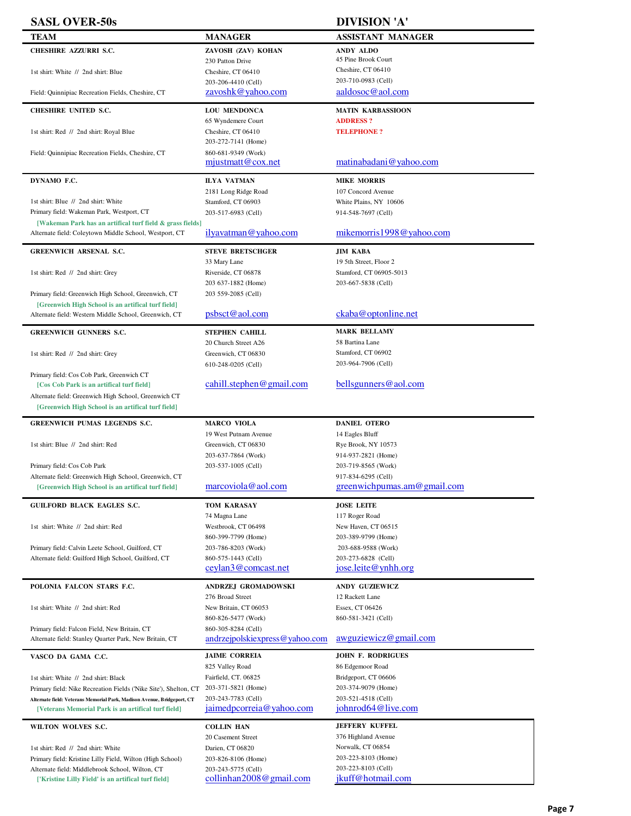| <b>SASL OVER-50s</b>                                                                                         |                                            | <b>DIVISION 'A'</b>                              |
|--------------------------------------------------------------------------------------------------------------|--------------------------------------------|--------------------------------------------------|
| <b>TEAM</b>                                                                                                  | <b>MANAGER</b>                             | <b>ASSISTANT MANAGER</b>                         |
| <b>CHESHIRE AZZURRI S.C.</b>                                                                                 | ZAVOSH (ZAV) KOHAN                         | ANDY ALDO                                        |
|                                                                                                              | 230 Patton Drive                           | 45 Pine Brook Court                              |
| 1st shirt: White // 2nd shirt: Blue                                                                          | Cheshire, CT 06410                         | Cheshire, CT 06410                               |
|                                                                                                              | 203-206-4410 (Cell)                        | 203-710-0983 (Cell)                              |
| Field: Quinnipiac Recreation Fields, Cheshire, CT                                                            | zavoshk@yahoo.com                          | aaldosoc@aol.com                                 |
| <b>CHESHIRE UNITED S.C.</b>                                                                                  | <b>LOU MENDONCA</b>                        | <b>MATIN KARBASSIOON</b>                         |
|                                                                                                              | 65 Wyndemere Court                         | <b>ADDRESS?</b>                                  |
| 1st shirt: Red // 2nd shirt: Royal Blue                                                                      | Cheshire, CT 06410                         | <b>TELEPHONE?</b>                                |
|                                                                                                              | 203-272-7141 (Home)                        |                                                  |
| Field: Quinnipiac Recreation Fields, Cheshire, CT                                                            | 860-681-9349 (Work)<br>mjustmatt@cox.net   | matinabadani@yahoo.com                           |
|                                                                                                              |                                            |                                                  |
| DYNAMO F.C.                                                                                                  | <b>ILYA VATMAN</b>                         | <b>MIKE MORRIS</b>                               |
| 1st shirt: Blue // 2nd shirt: White                                                                          | 2181 Long Ridge Road<br>Stamford, CT 06903 | 107 Concord Avenue<br>White Plains, NY 10606     |
| Primary field: Wakeman Park, Westport, CT                                                                    | 203-517-6983 (Cell)                        | 914-548-7697 (Cell)                              |
| [Wakeman Park has an artifical turf field & grass fields]                                                    |                                            |                                                  |
| Alternate field: Coleytown Middle School, Westport, CT                                                       | ilyavatman@yahoo.com                       | mikemorris $1998@$ vahoo.com                     |
| <b>GREENWICH ARSENAL S.C.</b>                                                                                | <b>STEVE BRETSCHGER</b>                    | <b>JIM KABA</b>                                  |
|                                                                                                              | 33 Mary Lane                               | 19 5th Street, Floor 2                           |
| 1st shirt: Red // 2nd shirt: Grey                                                                            | Riverside, CT 06878                        | Stamford, CT 06905-5013                          |
|                                                                                                              | 203 637-1882 (Home)                        | 203-667-5838 (Cell)                              |
| Primary field: Greenwich High School, Greenwich, CT                                                          | 203 559-2085 (Cell)                        |                                                  |
| [Greenwich High School is an artifical turf field]                                                           |                                            |                                                  |
| Alternate field: Western Middle School, Greenwich, CT                                                        | psbsct@aol.com                             | ckaba@optonline.net                              |
| <b>GREENWICH GUNNERS S.C.</b>                                                                                | <b>STEPHEN CAHILL</b>                      | <b>MARK BELLAMY</b>                              |
|                                                                                                              | 20 Church Street A26                       | 58 Bartina Lane                                  |
| 1st shirt: Red // 2nd shirt: Grey                                                                            | Greenwich, CT 06830                        | Stamford, CT 06902                               |
|                                                                                                              | 610-248-0205 (Cell)                        | 203-964-7906 (Cell)                              |
| Primary field: Cos Cob Park, Greenwich CT<br>[Cos Cob Park is an artifical turf field]                       | cahill.stephen@gmail.com                   | bellsgunners@aol.com                             |
| Alternate field: Greenwich High School, Greenwich CT                                                         |                                            |                                                  |
|                                                                                                              |                                            |                                                  |
| [Greenwich High School is an artifical turf field]                                                           |                                            |                                                  |
| <b>GREENWICH PUMAS LEGENDS S.C.</b>                                                                          | <b>MARCO VIOLA</b>                         | <b>DANIEL OTERO</b>                              |
|                                                                                                              | 19 West Putnam Avenue                      | 14 Eagles Bluff                                  |
| 1st shirt: Blue // 2nd shirt: Red                                                                            | Greenwich, CT 06830                        | Rye Brook, NY 10573                              |
|                                                                                                              | 203-637-7864 (Work)                        | 914-937-2821 (Home)                              |
| Primary field: Cos Cob Park                                                                                  | 203-537-1005 (Cell)                        | 203-719-8565 (Work)                              |
| Alternate field: Greenwich High School, Greenwich, CT                                                        |                                            | 917-834-6295 (Cell)                              |
| [Greenwich High School is an artifical turf field]                                                           | marcoviola@aol.com                         | greenwichpumas.am@gmail.com                      |
| <b>GUILFORD BLACK EAGLES S.C.</b>                                                                            | <b>TOM KARASAY</b>                         | <b>JOSE LEITE</b>                                |
|                                                                                                              | 74 Magna Lane                              | 117 Roger Road                                   |
| 1st shirt: White // 2nd shirt: Red                                                                           | Westbrook, CT 06498                        | New Haven, CT 06515                              |
|                                                                                                              | 860-399-7799 (Home)                        | 203-389-9799 (Home)                              |
| Primary field: Calvin Leete School, Guilford, CT                                                             | 203-786-8203 (Work)                        | 203-688-9588 (Work)                              |
| Alternate field: Guilford High School, Guilford, CT                                                          | 860-575-1443 (Cell)<br>ceylan3@comcast.net | 203-273-6828 (Cell)<br>$jose.$ leite @ ynhh. org |
|                                                                                                              |                                            |                                                  |
| POLONIA FALCON STARS F.C.                                                                                    | ANDRZEJ GROMADOWSKI                        | <b>ANDY GUZIEWICZ</b>                            |
|                                                                                                              | 276 Broad Street                           | 12 Rackett Lane                                  |
| 1st shirt: White // 2nd shirt: Red                                                                           | New Britain, CT 06053                      | Essex, CT 06426                                  |
| Primary field: Falcon Field, New Britain, CT                                                                 | 860-826-5477 (Work)<br>860-305-8284 (Cell) | 860-581-3421 (Cell)                              |
| Alternate field: Stanley Quarter Park, New Britain, CT                                                       | andrzejpolskiexpress@yahoo.com             | awguziewicz@gmail.com                            |
|                                                                                                              | <b>JAIME CORREIA</b>                       | <b>JOHN F. RODRIGUES</b>                         |
| VASCO DA GAMA C.C.                                                                                           | 825 Valley Road                            | 86 Edgemoor Road                                 |
| 1st shirt: White // 2nd shirt: Black                                                                         | Fairfield, CT. 06825                       | Bridgeport, CT 06606                             |
| Primary field: Nike Recreation Fields ('Nike Site'), Shelton, CT                                             | 203-371-5821 (Home)                        | 203-374-9079 (Home)                              |
| Alternate field: Veterans Memorial Park, Madison Avenue, Bridgeport, CT                                      | 203-243-7783 (Cell)                        | 203-521-4518 (Cell)                              |
| [Veterans Memorial Park is an artifical turf field]                                                          | jaimedpcorreia@yahoo.com                   | johnrod64@live.com                               |
| WILTON WOLVES S.C.                                                                                           | <b>COLLIN HAN</b>                          | <b>JEFFERY KUFFEL</b>                            |
|                                                                                                              | 20 Casement Street                         | 376 Highland Avenue                              |
| 1st shirt: Red // 2nd shirt: White                                                                           | Darien, CT 06820                           | Norwalk, CT 06854                                |
| Primary field: Kristine Lilly Field, Wilton (High School)<br>Alternate field: Middlebrook School, Wilton, CT | 203-826-8106 (Home)<br>203-243-5775 (Cell) | 203-223-8103 (Home)<br>203-223-8103 (Cell)       |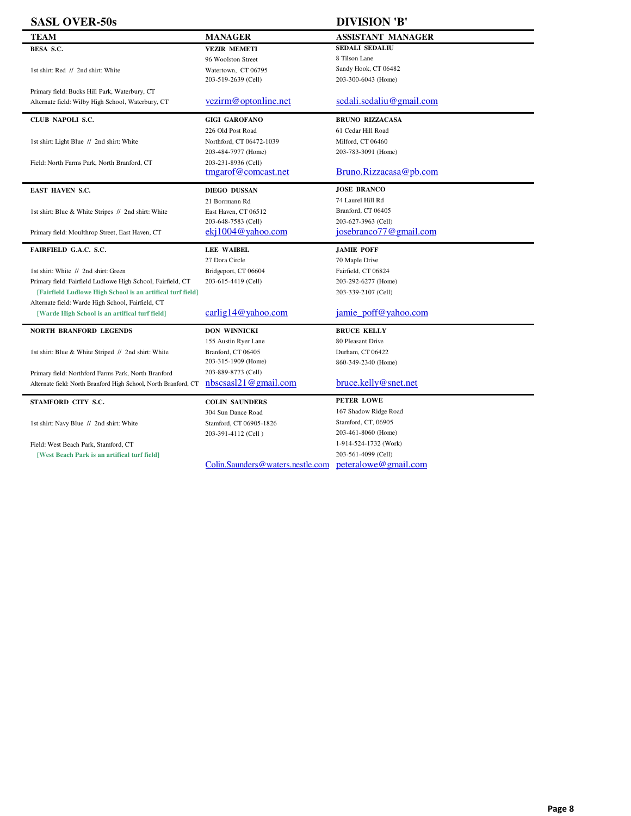| <b>SASL OVER-50s</b>                                            |                                      | <b>DIVISION 'B'</b>      |
|-----------------------------------------------------------------|--------------------------------------|--------------------------|
| TEAM                                                            | <b>MANAGER</b>                       | <b>ASSISTANT MANAGER</b> |
| BESA S.C.                                                       | <b>VEZIR MEMETI</b>                  | <b>SEDALI SEDALIU</b>    |
|                                                                 | 96 Woolston Street                   | 8 Tilson Lane            |
| 1st shirt: Red // 2nd shirt: White                              | Watertown, CT 06795                  | Sandy Hook, CT 06482     |
|                                                                 | 203-519-2639 (Cell)                  | 203-300-6043 (Home)      |
| Primary field: Bucks Hill Park, Waterbury, CT                   |                                      |                          |
| Alternate field: Wilby High School, Waterbury, CT               | vezirm@optonline.net                 | sedali.sedaliu@gmail.com |
| CLUB NAPOLI S.C.                                                | <b>GIGI GAROFANO</b>                 | <b>BRUNO RIZZACASA</b>   |
|                                                                 | 226 Old Post Road                    | 61 Cedar Hill Road       |
| 1st shirt: Light Blue // 2nd shirt: White                       | Northford, CT 06472-1039             | Milford, CT 06460        |
|                                                                 | 203-484-7977 (Home)                  | 203-783-3091 (Home)      |
| Field: North Farms Park, North Branford, CT                     | 203-231-8936 (Cell)                  |                          |
|                                                                 | tmgarof@comcast.net                  | Bruno.Rizzacasa@pb.com   |
| <b>EAST HAVEN S.C.</b>                                          | <b>DIEGO DUSSAN</b>                  | <b>JOSE BRANCO</b>       |
|                                                                 | 21 Borrmann Rd                       | 74 Laurel Hill Rd        |
| 1st shirt: Blue & White Stripes // 2nd shirt: White             | East Haven, CT 06512                 | Branford, CT 06405       |
|                                                                 | 203-648-7583 (Cell)                  | 203-627-3963 (Cell)      |
| Primary field: Moulthrop Street, East Haven, CT                 | $eki1004@$ yahoo.com                 | josebranco77@gmail.com   |
|                                                                 |                                      |                          |
| FAIRFIELD G.A.C. S.C.                                           | <b>LEE WAIBEL</b>                    | <b>JAMIE POFF</b>        |
|                                                                 | 27 Dora Circle                       | 70 Maple Drive           |
| 1st shirt: White // 2nd shirt: Green                            | Bridgeport, CT 06604                 | Fairfield, CT 06824      |
| Primary field: Fairfield Ludlowe High School, Fairfield, CT     | 203-615-4419 (Cell)                  | 203-292-6277 (Home)      |
| [Fairfield Ludlowe High School is an artifical turf field]      |                                      | 203-339-2107 (Cell)      |
| Alternate field: Warde High School, Fairfield, CT               |                                      |                          |
| [Warde High School is an artifical turf field]                  | $\frac{\text{carlig14@yahoo.com}}{}$ | jamie poff@yahoo.com     |
| <b>NORTH BRANFORD LEGENDS</b>                                   | <b>DON WINNICKI</b>                  | <b>BRUCE KELLY</b>       |
|                                                                 | 155 Austin Ryer Lane                 | 80 Pleasant Drive        |
| 1st shirt: Blue & White Striped // 2nd shirt: White             | Branford, CT 06405                   | Durham, CT 06422         |
|                                                                 | 203-315-1909 (Home)                  | 860-349-2340 (Home)      |
| Primary field: Northford Farms Park, North Branford             | 203-889-8773 (Cell)                  |                          |
| Alternate field: North Branford High School, North Branford, CT | $n$ bscsasl $21@$ gmail.com          | bruce.kelly@snet.net     |
| STAMFORD CITY S.C.                                              | <b>COLIN SAUNDERS</b>                | <b>PETER LOWE</b>        |
|                                                                 | 304 Sun Dance Road                   | 167 Shadow Ridge Road    |
| 1st shirt: Navy Blue // 2nd shirt: White                        | Stamford, CT 06905-1826              | Stamford, CT, 06905      |
|                                                                 | 203-391-4112 (Cell)                  | 203-461-8060 (Home)      |
| Field: West Beach Park, Stamford, CT                            |                                      | 1-914-524-1732 (Work)    |
| [West Beach Park is an artifical turf field]                    |                                      | 203-561-4099 (Cell)      |

l,

Î.